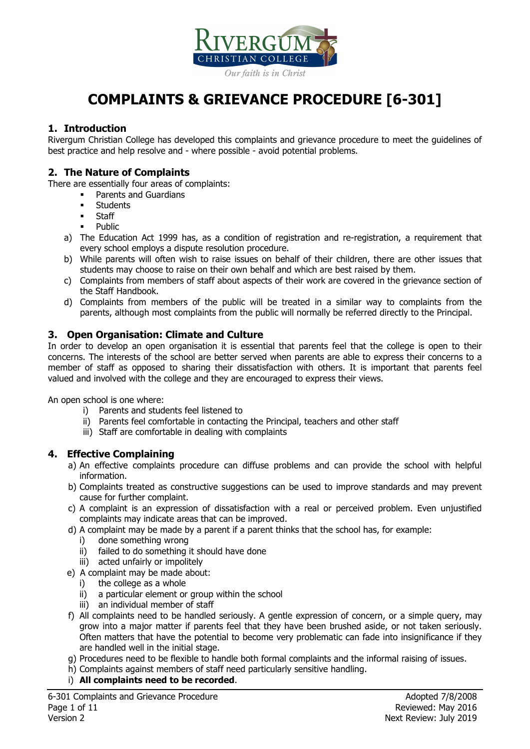

# **COMPLAINTS & GRIEVANCE PROCEDURE [6-301]**

# **1. Introduction**

Rivergum Christian College has developed this complaints and grievance procedure to meet the guidelines of best practice and help resolve and - where possible - avoid potential problems.

### **2. The Nature of Complaints**

There are essentially four areas of complaints:

- Parents and Guardians
- **Students**
- Staff
- Public
- a) The Education Act 1999 has, as a condition of registration and re-registration, a requirement that every school employs a dispute resolution procedure.
- b) While parents will often wish to raise issues on behalf of their children, there are other issues that students may choose to raise on their own behalf and which are best raised by them.
- c) Complaints from members of staff about aspects of their work are covered in the grievance section of the Staff Handbook.
- d) Complaints from members of the public will be treated in a similar way to complaints from the parents, although most complaints from the public will normally be referred directly to the Principal.

# **3. Open Organisation: Climate and Culture**

In order to develop an open organisation it is essential that parents feel that the college is open to their concerns. The interests of the school are better served when parents are able to express their concerns to a member of staff as opposed to sharing their dissatisfaction with others. It is important that parents feel valued and involved with the college and they are encouraged to express their views.

An open school is one where:

- i) Parents and students feel listened to
- ii) Parents feel comfortable in contacting the Principal, teachers and other staff
- iii) Staff are comfortable in dealing with complaints

#### **4. Effective Complaining**

- a) An effective complaints procedure can diffuse problems and can provide the school with helpful information.
- b) Complaints treated as constructive suggestions can be used to improve standards and may prevent cause for further complaint.
- c) A complaint is an expression of dissatisfaction with a real or perceived problem. Even unjustified complaints may indicate areas that can be improved.
- d) A complaint may be made by a parent if a parent thinks that the school has, for example:
	- i) done something wrong
	- ii) failed to do something it should have done
- iii) acted unfairly or impolitely
- e) A complaint may be made about:
	- i) the college as a whole
	- ii) a particular element or group within the school
	- iii) an individual member of staff
- f) All complaints need to be handled seriously. A gentle expression of concern, or a simple query, may grow into a major matter if parents feel that they have been brushed aside, or not taken seriously. Often matters that have the potential to become very problematic can fade into insignificance if they are handled well in the initial stage.
- g) Procedures need to be flexible to handle both formal complaints and the informal raising of issues.
- h) Complaints against members of staff need particularly sensitive handling.
- i) **All complaints need to be recorded**.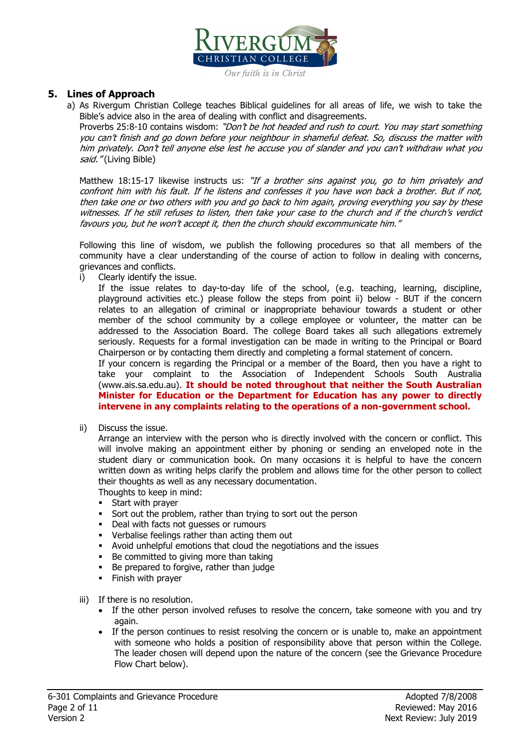

#### Our faith is in Christ

#### **5. Lines of Approach**

a) As Rivergum Christian College teaches Biblical guidelines for all areas of life, we wish to take the Bible's advice also in the area of dealing with conflict and disagreements.

Proverbs 25:8-10 contains wisdom: "Don't be hot headed and rush to court. You may start something you can't finish and go down before your neighbour in shameful defeat. So, discuss the matter with him privately. Don't tell anyone else lest he accuse you of slander and you can't withdraw what you said." (Living Bible)

Matthew 18:15-17 likewise instructs us: "If a brother sins against you, go to him privately and confront him with his fault. If he listens and confesses it you have won back a brother. But if not, then take one or two others with you and go back to him again, proving everything you say by these witnesses. If he still refuses to listen, then take your case to the church and if the church's verdict favours you, but he won't accept it, then the church should excommunicate him."

Following this line of wisdom, we publish the following procedures so that all members of the community have a clear understanding of the course of action to follow in dealing with concerns, grievances and conflicts.

i) Clearly identify the issue.

If the issue relates to day-to-day life of the school, (e.g. teaching, learning, discipline, playground activities etc.) please follow the steps from point ii) below - BUT if the concern relates to an allegation of criminal or inappropriate behaviour towards a student or other member of the school community by a college employee or volunteer, the matter can be addressed to the Association Board. The college Board takes all such allegations extremely seriously. Requests for a formal investigation can be made in writing to the Principal or Board Chairperson or by contacting them directly and completing a formal statement of concern.

If your concern is regarding the Principal or a member of the Board, then you have a right to take your complaint to the Association of Independent Schools South Australia (www.ais.sa.edu.au). **It should be noted throughout that neither the South Australian Minister for Education or the Department for Education has any power to directly intervene in any complaints relating to the operations of a non-government school.**

ii) Discuss the issue.

Arrange an interview with the person who is directly involved with the concern or conflict. This will involve making an appointment either by phoning or sending an enveloped note in the student diary or communication book. On many occasions it is helpful to have the concern written down as writing helps clarify the problem and allows time for the other person to collect their thoughts as well as any necessary documentation.

Thoughts to keep in mind:

- **Start with prayer**
- Sort out the problem, rather than trying to sort out the person
- Deal with facts not quesses or rumours
- Verbalise feelings rather than acting them out
- Avoid unhelpful emotions that cloud the negotiations and the issues
- Be committed to giving more than taking
- Be prepared to forgive, rather than judge
- Finish with prayer
- iii) If there is no resolution.
	- If the other person involved refuses to resolve the concern, take someone with you and try again.
	- If the person continues to resist resolving the concern or is unable to, make an appointment with someone who holds a position of responsibility above that person within the College. The leader chosen will depend upon the nature of the concern (see the Grievance Procedure Flow Chart below).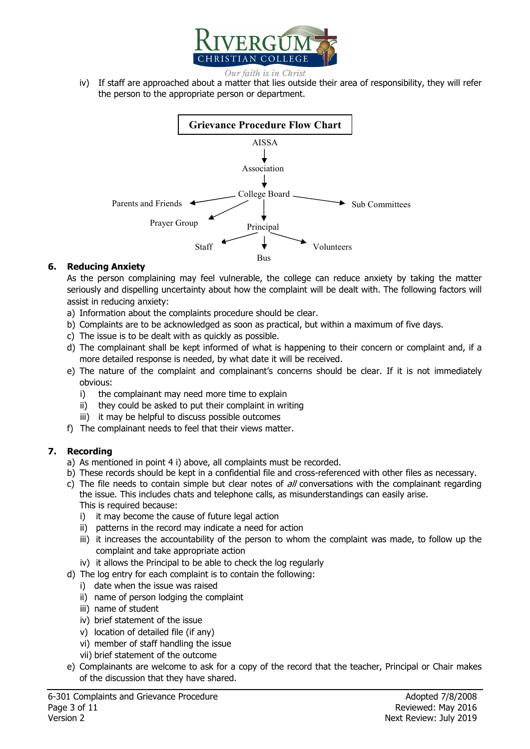

- Our faith is in Christ
- iv) If staff are approached about a matter that lies outside their area of responsibility, they will refer the person to the appropriate person or department.



#### **6. Reducing Anxiety**

As the person complaining may feel vulnerable, the college can reduce anxiety by taking the matter seriously and dispelling uncertainty about how the complaint will be dealt with. The following factors will assist in reducing anxiety:

- a) Information about the complaints procedure should be clear.
- b) Complaints are to be acknowledged as soon as practical, but within a maximum of five days.
- c) The issue is to be dealt with as quickly as possible.
- d) The complainant shall be kept informed of what is happening to their concern or complaint and, if a more detailed response is needed, by what date it will be received.
- e) The nature of the complaint and complainant's concerns should be clear. If it is not immediately obvious:
	- i) the complainant may need more time to explain
	- ii) they could be asked to put their complaint in writing
	- iii) it may be helpful to discuss possible outcomes
- f) The complainant needs to feel that their views matter.

#### **7. Recording**

- a) As mentioned in point 4 i) above, all complaints must be recorded.
- b) These records should be kept in a confidential file and cross-referenced with other files as necessary.
- c) The file needs to contain simple but clear notes of  $all$  conversations with the complainant regarding the issue. This includes chats and telephone calls, as misunderstandings can easily arise. This is required because:
	- i) it may become the cause of future legal action
	- ii) patterns in the record may indicate a need for action
	- iii) it increases the accountability of the person to whom the complaint was made, to follow up the complaint and take appropriate action
	- iv) it allows the Principal to be able to check the log regularly
- d) The log entry for each complaint is to contain the following:
	- i) date when the issue was raised
	- ii) name of person lodging the complaint
	- iii) name of student
	- iv) brief statement of the issue
	- v) location of detailed file (if any)
	- vi) member of staff handling the issue
	- vii) brief statement of the outcome
- e) Complainants are welcome to ask for a copy of the record that the teacher, Principal or Chair makes of the discussion that they have shared.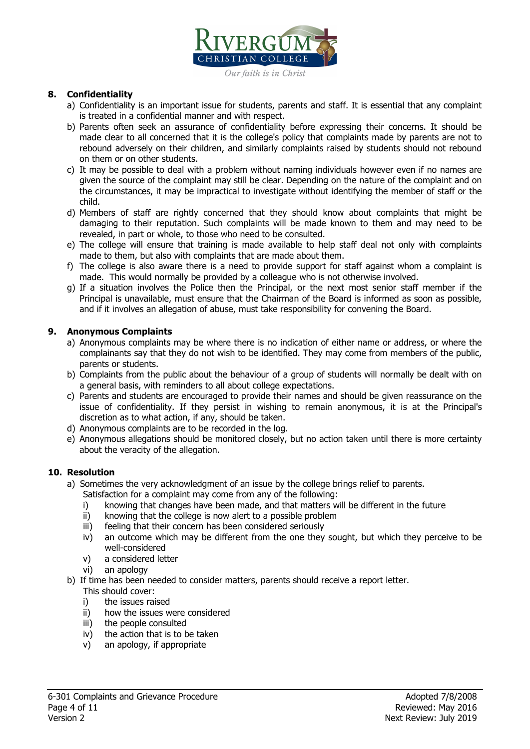

#### **8. Confidentiality**

- a) Confidentiality is an important issue for students, parents and staff. It is essential that any complaint is treated in a confidential manner and with respect.
- b) Parents often seek an assurance of confidentiality before expressing their concerns. It should be made clear to all concerned that it is the college's policy that complaints made by parents are not to rebound adversely on their children, and similarly complaints raised by students should not rebound on them or on other students.
- c) It may be possible to deal with a problem without naming individuals however even if no names are given the source of the complaint may still be clear. Depending on the nature of the complaint and on the circumstances, it may be impractical to investigate without identifying the member of staff or the child.
- d) Members of staff are rightly concerned that they should know about complaints that might be damaging to their reputation. Such complaints will be made known to them and may need to be revealed, in part or whole, to those who need to be consulted.
- e) The college will ensure that training is made available to help staff deal not only with complaints made to them, but also with complaints that are made about them.
- f) The college is also aware there is a need to provide support for staff against whom a complaint is made. This would normally be provided by a colleague who is not otherwise involved.
- g) If a situation involves the Police then the Principal, or the next most senior staff member if the Principal is unavailable, must ensure that the Chairman of the Board is informed as soon as possible, and if it involves an allegation of abuse, must take responsibility for convening the Board.

#### **9. Anonymous Complaints**

- a) Anonymous complaints may be where there is no indication of either name or address, or where the complainants say that they do not wish to be identified. They may come from members of the public, parents or students.
- b) Complaints from the public about the behaviour of a group of students will normally be dealt with on a general basis, with reminders to all about college expectations.
- c) Parents and students are encouraged to provide their names and should be given reassurance on the issue of confidentiality. If they persist in wishing to remain anonymous, it is at the Principal's discretion as to what action, if any, should be taken.
- d) Anonymous complaints are to be recorded in the log.
- e) Anonymous allegations should be monitored closely, but no action taken until there is more certainty about the veracity of the allegation.

#### **10. Resolution**

- a) Sometimes the very acknowledgment of an issue by the college brings relief to parents.
	- Satisfaction for a complaint may come from any of the following:
	- i) knowing that changes have been made, and that matters will be different in the future
	- ii) knowing that the college is now alert to a possible problem
	- iii) feeling that their concern has been considered seriously
	- iv) an outcome which may be different from the one they sought, but which they perceive to be well-considered
	- v) a considered letter
	- vi) an apology
- b) If time has been needed to consider matters, parents should receive a report letter. This should cover:
	- i) the issues raised
	- ii) how the issues were considered
	- iii) the people consulted
	- iv) the action that is to be taken
	- v) an apology, if appropriate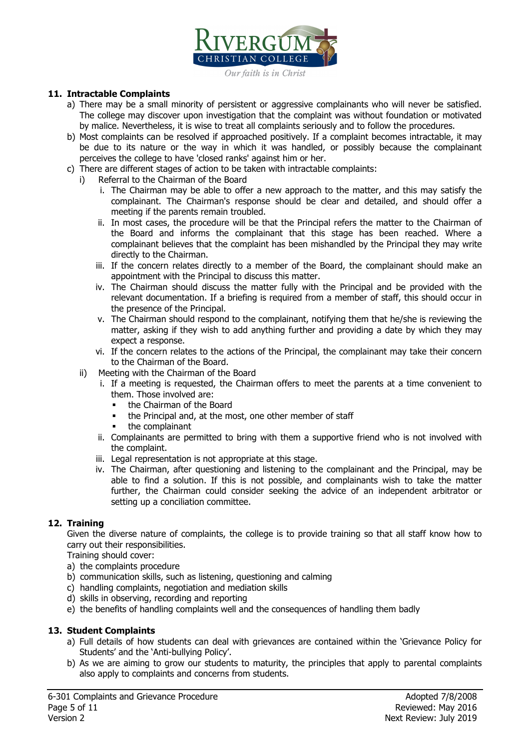

#### **11. Intractable Complaints**

- a) There may be a small minority of persistent or aggressive complainants who will never be satisfied. The college may discover upon investigation that the complaint was without foundation or motivated by malice. Nevertheless, it is wise to treat all complaints seriously and to follow the procedures.
- b) Most complaints can be resolved if approached positively. If a complaint becomes intractable, it may be due to its nature or the way in which it was handled, or possibly because the complainant perceives the college to have 'closed ranks' against him or her.
- c) There are different stages of action to be taken with intractable complaints:
	- i) Referral to the Chairman of the Board
		- i. The Chairman may be able to offer a new approach to the matter, and this may satisfy the complainant. The Chairman's response should be clear and detailed, and should offer a meeting if the parents remain troubled.
		- ii. In most cases, the procedure will be that the Principal refers the matter to the Chairman of the Board and informs the complainant that this stage has been reached. Where a complainant believes that the complaint has been mishandled by the Principal they may write directly to the Chairman.
		- iii. If the concern relates directly to a member of the Board, the complainant should make an appointment with the Principal to discuss this matter.
		- iv. The Chairman should discuss the matter fully with the Principal and be provided with the relevant documentation. If a briefing is required from a member of staff, this should occur in the presence of the Principal.
		- v. The Chairman should respond to the complainant, notifying them that he/she is reviewing the matter, asking if they wish to add anything further and providing a date by which they may expect a response.
		- vi. If the concern relates to the actions of the Principal, the complainant may take their concern to the Chairman of the Board.
	- ii) Meeting with the Chairman of the Board
		- i. If a meeting is requested, the Chairman offers to meet the parents at a time convenient to them. Those involved are:
			- the Chairman of the Board
			- the Principal and, at the most, one other member of staff
			- the complainant
		- ii. Complainants are permitted to bring with them a supportive friend who is not involved with the complaint.
		- iii. Legal representation is not appropriate at this stage.
		- iv. The Chairman, after questioning and listening to the complainant and the Principal, may be able to find a solution. If this is not possible, and complainants wish to take the matter further, the Chairman could consider seeking the advice of an independent arbitrator or setting up a conciliation committee.

#### **12. Training**

Given the diverse nature of complaints, the college is to provide training so that all staff know how to carry out their responsibilities.

Training should cover:

- a) the complaints procedure
- b) communication skills, such as listening, questioning and calming
- c) handling complaints, negotiation and mediation skills
- d) skills in observing, recording and reporting
- e) the benefits of handling complaints well and the consequences of handling them badly

#### **13. Student Complaints**

- a) Full details of how students can deal with grievances are contained within the 'Grievance Policy for Students' and the 'Anti-bullying Policy'.
- b) As we are aiming to grow our students to maturity, the principles that apply to parental complaints also apply to complaints and concerns from students.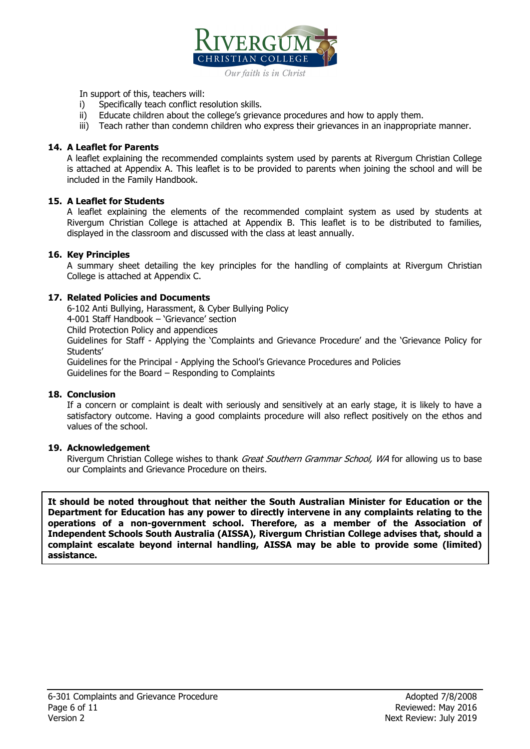

In support of this, teachers will:

- i) Specifically teach conflict resolution skills.
- ii) Educate children about the college's grievance procedures and how to apply them.
- iii) Teach rather than condemn children who express their grievances in an inappropriate manner.

#### **14. A Leaflet for Parents**

A leaflet explaining the recommended complaints system used by parents at Rivergum Christian College is attached at Appendix A. This leaflet is to be provided to parents when joining the school and will be included in the Family Handbook.

#### **15. A Leaflet for Students**

A leaflet explaining the elements of the recommended complaint system as used by students at Rivergum Christian College is attached at Appendix B. This leaflet is to be distributed to families, displayed in the classroom and discussed with the class at least annually.

#### **16. Key Principles**

A summary sheet detailing the key principles for the handling of complaints at Rivergum Christian College is attached at Appendix C.

#### **17. Related Policies and Documents**

6-102 Anti Bullying, Harassment, & Cyber Bullying Policy 4-001 Staff Handbook – 'Grievance' section Child Protection Policy and appendices Guidelines for Staff - Applying the 'Complaints and Grievance Procedure' and the 'Grievance Policy for Students' Guidelines for the Principal - Applying the School's Grievance Procedures and Policies Guidelines for the Board – Responding to Complaints

#### **18. Conclusion**

If a concern or complaint is dealt with seriously and sensitively at an early stage, it is likely to have a satisfactory outcome. Having a good complaints procedure will also reflect positively on the ethos and values of the school.

#### **19. Acknowledgement**

Rivergum Christian College wishes to thank *Great Southern Grammar School, WA* for allowing us to base our Complaints and Grievance Procedure on theirs.

**It should be noted throughout that neither the South Australian Minister for Education or the Department for Education has any power to directly intervene in any complaints relating to the operations of a non-government school. Therefore, as a member of the Association of Independent Schools South Australia (AISSA), Rivergum Christian College advises that, should a complaint escalate beyond internal handling, AISSA may be able to provide some (limited) assistance.**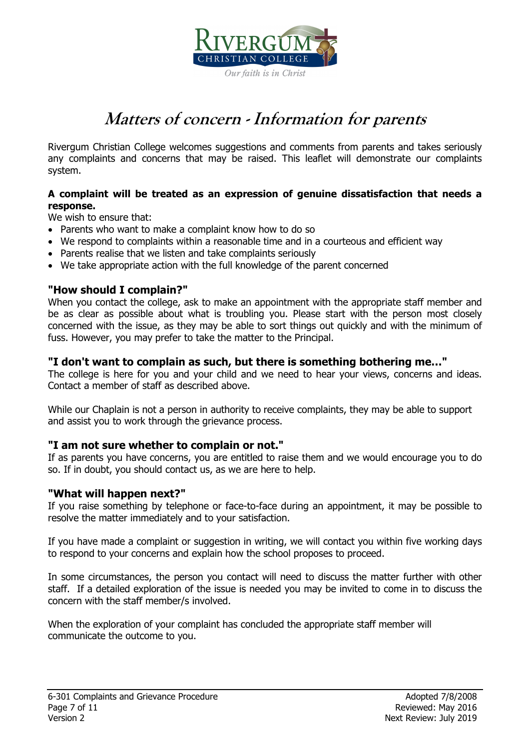

# **Matters of concern - Information for parents**

Rivergum Christian College welcomes suggestions and comments from parents and takes seriously any complaints and concerns that may be raised. This leaflet will demonstrate our complaints system.

### **A complaint will be treated as an expression of genuine dissatisfaction that needs a response.**

We wish to ensure that:

- Parents who want to make a complaint know how to do so
- We respond to complaints within a reasonable time and in a courteous and efficient way
- Parents realise that we listen and take complaints seriously
- We take appropriate action with the full knowledge of the parent concerned

# **"How should I complain?"**

When you contact the college, ask to make an appointment with the appropriate staff member and be as clear as possible about what is troubling you. Please start with the person most closely concerned with the issue, as they may be able to sort things out quickly and with the minimum of fuss. However, you may prefer to take the matter to the Principal.

# **"I don't want to complain as such, but there is something bothering me…"**

The college is here for you and your child and we need to hear your views, concerns and ideas. Contact a member of staff as described above.

While our Chaplain is not a person in authority to receive complaints, they may be able to support and assist you to work through the grievance process.

# **"I am not sure whether to complain or not."**

If as parents you have concerns, you are entitled to raise them and we would encourage you to do so. If in doubt, you should contact us, as we are here to help.

### **"What will happen next?"**

If you raise something by telephone or face-to-face during an appointment, it may be possible to resolve the matter immediately and to your satisfaction.

If you have made a complaint or suggestion in writing, we will contact you within five working days to respond to your concerns and explain how the school proposes to proceed.

In some circumstances, the person you contact will need to discuss the matter further with other staff. If a detailed exploration of the issue is needed you may be invited to come in to discuss the concern with the staff member/s involved.

When the exploration of your complaint has concluded the appropriate staff member will communicate the outcome to you.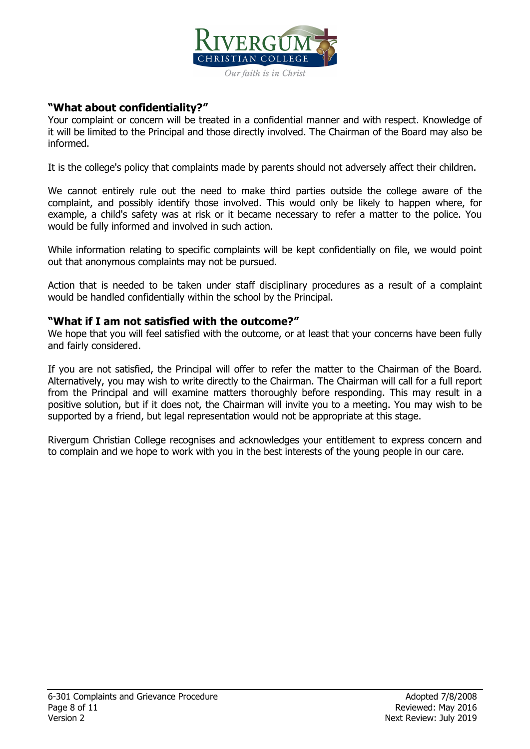

# **"What about confidentiality?"**

Your complaint or concern will be treated in a confidential manner and with respect. Knowledge of it will be limited to the Principal and those directly involved. The Chairman of the Board may also be informed.

It is the college's policy that complaints made by parents should not adversely affect their children.

We cannot entirely rule out the need to make third parties outside the college aware of the complaint, and possibly identify those involved. This would only be likely to happen where, for example, a child's safety was at risk or it became necessary to refer a matter to the police. You would be fully informed and involved in such action.

While information relating to specific complaints will be kept confidentially on file, we would point out that anonymous complaints may not be pursued.

Action that is needed to be taken under staff disciplinary procedures as a result of a complaint would be handled confidentially within the school by the Principal.

### **"What if I am not satisfied with the outcome?"**

We hope that you will feel satisfied with the outcome, or at least that your concerns have been fully and fairly considered.

If you are not satisfied, the Principal will offer to refer the matter to the Chairman of the Board. Alternatively, you may wish to write directly to the Chairman. The Chairman will call for a full report from the Principal and will examine matters thoroughly before responding. This may result in a positive solution, but if it does not, the Chairman will invite you to a meeting. You may wish to be supported by a friend, but legal representation would not be appropriate at this stage.

Rivergum Christian College recognises and acknowledges your entitlement to express concern and to complain and we hope to work with you in the best interests of the young people in our care.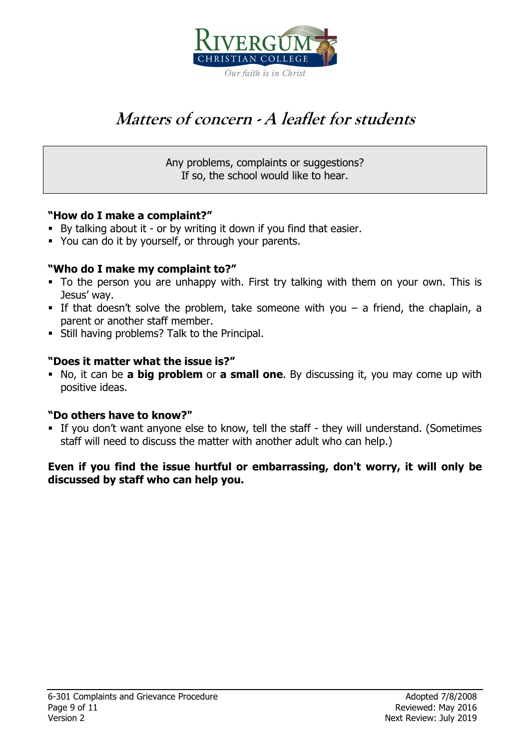

# **Matters of concern - A leaflet for students**

Any problems, complaints or suggestions? If so, the school would like to hear.

# **"How do I make a complaint?"**

- By talking about it or by writing it down if you find that easier.
- You can do it by yourself, or through your parents.

# **"Who do I make my complaint to?"**

- To the person you are unhappy with. First try talking with them on your own. This is Jesus' way.
- If that doesn't solve the problem, take someone with you  $-$  a friend, the chaplain, a parent or another staff member.
- Still having problems? Talk to the Principal.

# **"Does it matter what the issue is?"**

 No, it can be **a big problem** or **a small one**. By discussing it, you may come up with positive ideas.

# **"Do others have to know?"**

 If you don't want anyone else to know, tell the staff - they will understand. (Sometimes staff will need to discuss the matter with another adult who can help.)

# **Even if you find the issue hurtful or embarrassing, don't worry, it will only be discussed by staff who can help you.**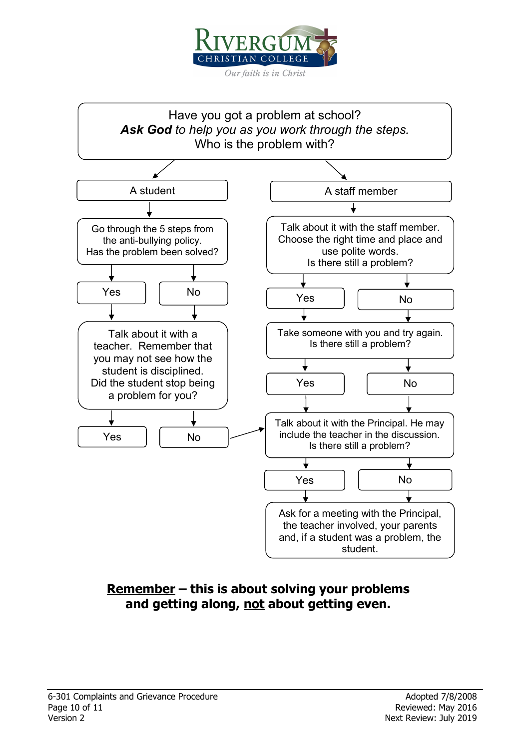



# **Remember – this is about solving your problems and getting along, not about getting even.**